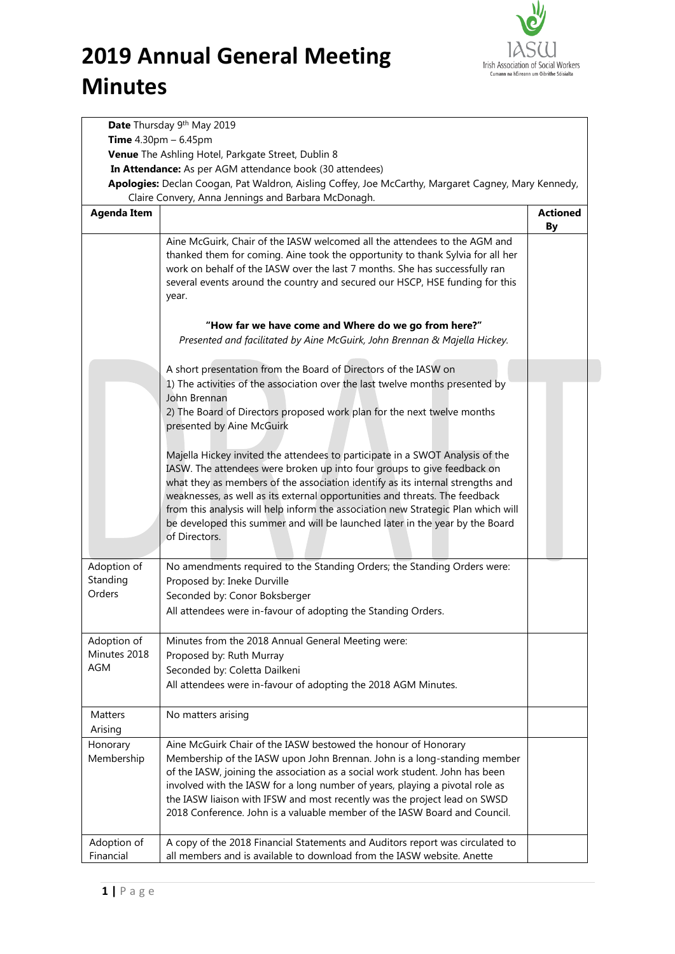

|                          | Date Thursday 9th May 2019                                                                                                                                                                                                                                                                                                                                                                                                                                                                                      |                       |
|--------------------------|-----------------------------------------------------------------------------------------------------------------------------------------------------------------------------------------------------------------------------------------------------------------------------------------------------------------------------------------------------------------------------------------------------------------------------------------------------------------------------------------------------------------|-----------------------|
|                          | <b>Time</b> $4.30 \text{pm} - 6.45 \text{pm}$                                                                                                                                                                                                                                                                                                                                                                                                                                                                   |                       |
|                          | Venue The Ashling Hotel, Parkgate Street, Dublin 8                                                                                                                                                                                                                                                                                                                                                                                                                                                              |                       |
|                          | In Attendance: As per AGM attendance book (30 attendees)                                                                                                                                                                                                                                                                                                                                                                                                                                                        |                       |
|                          | Apologies: Declan Coogan, Pat Waldron, Aisling Coffey, Joe McCarthy, Margaret Cagney, Mary Kennedy,<br>Claire Convery, Anna Jennings and Barbara McDonagh.                                                                                                                                                                                                                                                                                                                                                      |                       |
| <b>Agenda Item</b>       |                                                                                                                                                                                                                                                                                                                                                                                                                                                                                                                 | <b>Actioned</b><br>By |
|                          | Aine McGuirk, Chair of the IASW welcomed all the attendees to the AGM and<br>thanked them for coming. Aine took the opportunity to thank Sylvia for all her<br>work on behalf of the IASW over the last 7 months. She has successfully ran<br>several events around the country and secured our HSCP, HSE funding for this<br>year.                                                                                                                                                                             |                       |
|                          | "How far we have come and Where do we go from here?"<br>Presented and facilitated by Aine McGuirk, John Brennan & Majella Hickey.                                                                                                                                                                                                                                                                                                                                                                               |                       |
|                          | A short presentation from the Board of Directors of the IASW on<br>1) The activities of the association over the last twelve months presented by                                                                                                                                                                                                                                                                                                                                                                |                       |
|                          | John Brennan<br>2) The Board of Directors proposed work plan for the next twelve months<br>presented by Aine McGuirk                                                                                                                                                                                                                                                                                                                                                                                            |                       |
|                          | Majella Hickey invited the attendees to participate in a SWOT Analysis of the<br>IASW. The attendees were broken up into four groups to give feedback on<br>what they as members of the association identify as its internal strengths and<br>weaknesses, as well as its external opportunities and threats. The feedback<br>from this analysis will help inform the association new Strategic Plan which will<br>be developed this summer and will be launched later in the year by the Board<br>of Directors. |                       |
| Adoption of              | No amendments required to the Standing Orders; the Standing Orders were:                                                                                                                                                                                                                                                                                                                                                                                                                                        |                       |
| Standing                 | Proposed by: Ineke Durville                                                                                                                                                                                                                                                                                                                                                                                                                                                                                     |                       |
| Orders                   | Seconded by: Conor Boksberger<br>All attendees were in-favour of adopting the Standing Orders.                                                                                                                                                                                                                                                                                                                                                                                                                  |                       |
| Adoption of              | Minutes from the 2018 Annual General Meeting were:                                                                                                                                                                                                                                                                                                                                                                                                                                                              |                       |
| Minutes 2018             | Proposed by: Ruth Murray                                                                                                                                                                                                                                                                                                                                                                                                                                                                                        |                       |
| <b>AGM</b>               | Seconded by: Coletta Dailkeni                                                                                                                                                                                                                                                                                                                                                                                                                                                                                   |                       |
|                          | All attendees were in-favour of adopting the 2018 AGM Minutes.                                                                                                                                                                                                                                                                                                                                                                                                                                                  |                       |
| Matters                  | No matters arising                                                                                                                                                                                                                                                                                                                                                                                                                                                                                              |                       |
| Arising                  |                                                                                                                                                                                                                                                                                                                                                                                                                                                                                                                 |                       |
| Honorary<br>Membership   | Aine McGuirk Chair of the IASW bestowed the honour of Honorary<br>Membership of the IASW upon John Brennan. John is a long-standing member<br>of the IASW, joining the association as a social work student. John has been<br>involved with the IASW for a long number of years, playing a pivotal role as<br>the IASW liaison with IFSW and most recently was the project lead on SWSD<br>2018 Conference. John is a valuable member of the IASW Board and Council.                                            |                       |
| Adoption of<br>Financial | A copy of the 2018 Financial Statements and Auditors report was circulated to<br>all members and is available to download from the IASW website. Anette                                                                                                                                                                                                                                                                                                                                                         |                       |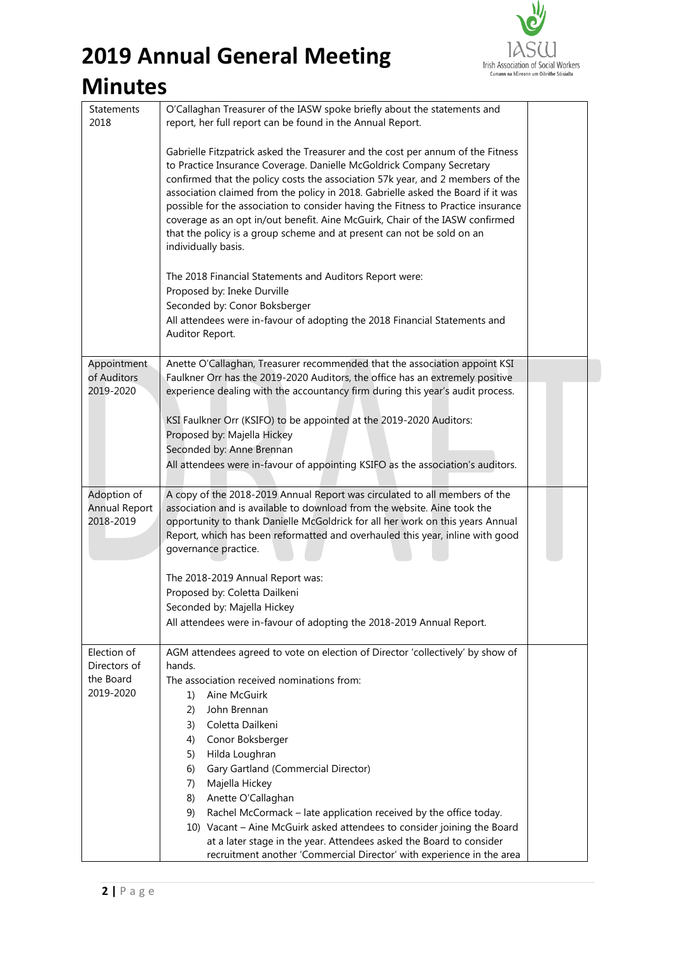### **2019 Annual General Meeting**



### **Minutes**

| <b>Statements</b><br>2018                        | O'Callaghan Treasurer of the IASW spoke briefly about the statements and<br>report, her full report can be found in the Annual Report.                                                                                                                                                                                                                                                                                                                                                                                                                                                               |  |
|--------------------------------------------------|------------------------------------------------------------------------------------------------------------------------------------------------------------------------------------------------------------------------------------------------------------------------------------------------------------------------------------------------------------------------------------------------------------------------------------------------------------------------------------------------------------------------------------------------------------------------------------------------------|--|
|                                                  | Gabrielle Fitzpatrick asked the Treasurer and the cost per annum of the Fitness<br>to Practice Insurance Coverage. Danielle McGoldrick Company Secretary<br>confirmed that the policy costs the association 57k year, and 2 members of the<br>association claimed from the policy in 2018. Gabrielle asked the Board if it was<br>possible for the association to consider having the Fitness to Practice insurance<br>coverage as an opt in/out benefit. Aine McGuirk, Chair of the IASW confirmed<br>that the policy is a group scheme and at present can not be sold on an<br>individually basis. |  |
|                                                  | The 2018 Financial Statements and Auditors Report were:<br>Proposed by: Ineke Durville                                                                                                                                                                                                                                                                                                                                                                                                                                                                                                               |  |
|                                                  | Seconded by: Conor Boksberger<br>All attendees were in-favour of adopting the 2018 Financial Statements and<br>Auditor Report.                                                                                                                                                                                                                                                                                                                                                                                                                                                                       |  |
|                                                  |                                                                                                                                                                                                                                                                                                                                                                                                                                                                                                                                                                                                      |  |
| Appointment<br>of Auditors                       | Anette O'Callaghan, Treasurer recommended that the association appoint KSI<br>Faulkner Orr has the 2019-2020 Auditors, the office has an extremely positive                                                                                                                                                                                                                                                                                                                                                                                                                                          |  |
| 2019-2020                                        | experience dealing with the accountancy firm during this year's audit process.                                                                                                                                                                                                                                                                                                                                                                                                                                                                                                                       |  |
|                                                  | KSI Faulkner Orr (KSIFO) to be appointed at the 2019-2020 Auditors:                                                                                                                                                                                                                                                                                                                                                                                                                                                                                                                                  |  |
|                                                  | Proposed by: Majella Hickey                                                                                                                                                                                                                                                                                                                                                                                                                                                                                                                                                                          |  |
|                                                  | Seconded by: Anne Brennan                                                                                                                                                                                                                                                                                                                                                                                                                                                                                                                                                                            |  |
|                                                  | All attendees were in-favour of appointing KSIFO as the association's auditors.                                                                                                                                                                                                                                                                                                                                                                                                                                                                                                                      |  |
| Adoption of<br><b>Annual Report</b><br>2018-2019 | A copy of the 2018-2019 Annual Report was circulated to all members of the<br>association and is available to download from the website. Aine took the<br>opportunity to thank Danielle McGoldrick for all her work on this years Annual<br>Report, which has been reformatted and overhauled this year, inline with good<br>governance practice.                                                                                                                                                                                                                                                    |  |
|                                                  | The 2018-2019 Annual Report was:                                                                                                                                                                                                                                                                                                                                                                                                                                                                                                                                                                     |  |
|                                                  | Proposed by: Coletta Dailkeni                                                                                                                                                                                                                                                                                                                                                                                                                                                                                                                                                                        |  |
|                                                  | Seconded by: Majella Hickey                                                                                                                                                                                                                                                                                                                                                                                                                                                                                                                                                                          |  |
|                                                  | All attendees were in-favour of adopting the 2018-2019 Annual Report.                                                                                                                                                                                                                                                                                                                                                                                                                                                                                                                                |  |
| Election of                                      | AGM attendees agreed to vote on election of Director 'collectively' by show of                                                                                                                                                                                                                                                                                                                                                                                                                                                                                                                       |  |
| Directors of<br>the Board                        | hands.<br>The association received nominations from:                                                                                                                                                                                                                                                                                                                                                                                                                                                                                                                                                 |  |
| 2019-2020                                        | Aine McGuirk<br>1)                                                                                                                                                                                                                                                                                                                                                                                                                                                                                                                                                                                   |  |
|                                                  | John Brennan<br>(2)                                                                                                                                                                                                                                                                                                                                                                                                                                                                                                                                                                                  |  |
|                                                  | Coletta Dailkeni<br>3)                                                                                                                                                                                                                                                                                                                                                                                                                                                                                                                                                                               |  |
|                                                  | Conor Boksberger<br>4)                                                                                                                                                                                                                                                                                                                                                                                                                                                                                                                                                                               |  |
|                                                  | Hilda Loughran<br>5)                                                                                                                                                                                                                                                                                                                                                                                                                                                                                                                                                                                 |  |
|                                                  | Gary Gartland (Commercial Director)<br>6)                                                                                                                                                                                                                                                                                                                                                                                                                                                                                                                                                            |  |
|                                                  | Majella Hickey<br>7)<br>Anette O'Callaghan<br>8)                                                                                                                                                                                                                                                                                                                                                                                                                                                                                                                                                     |  |
|                                                  | Rachel McCormack - late application received by the office today.<br>9)                                                                                                                                                                                                                                                                                                                                                                                                                                                                                                                              |  |
|                                                  | 10) Vacant - Aine McGuirk asked attendees to consider joining the Board                                                                                                                                                                                                                                                                                                                                                                                                                                                                                                                              |  |
|                                                  | at a later stage in the year. Attendees asked the Board to consider                                                                                                                                                                                                                                                                                                                                                                                                                                                                                                                                  |  |
|                                                  | recruitment another 'Commercial Director' with experience in the area                                                                                                                                                                                                                                                                                                                                                                                                                                                                                                                                |  |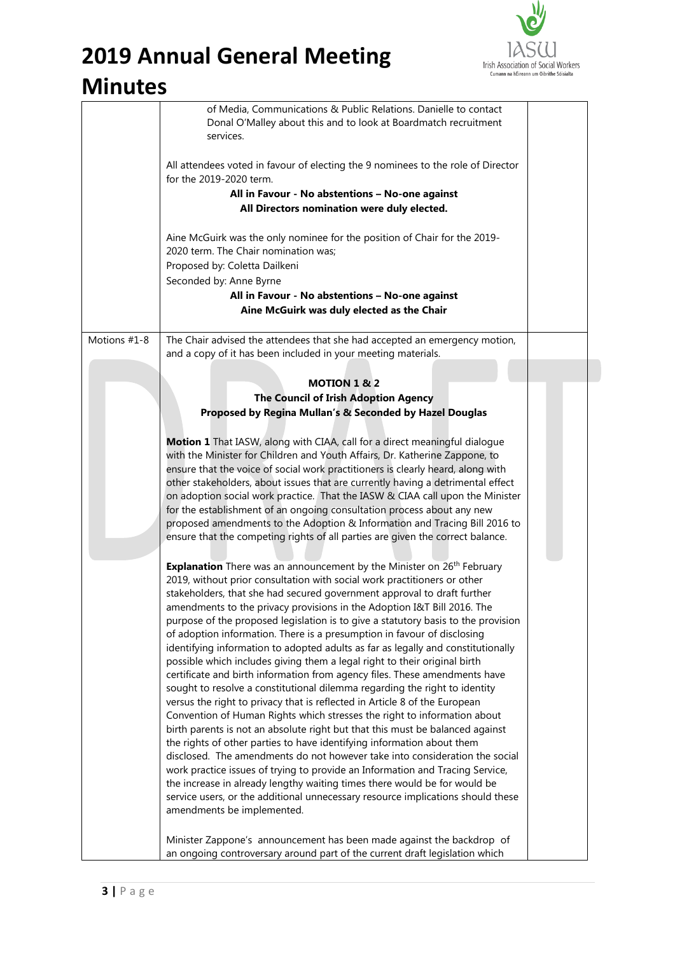

## **2019 Annual General Meeting**

### **Minutes**

|              | of Media, Communications & Public Relations. Danielle to contact<br>Donal O'Malley about this and to look at Boardmatch recruitment<br>services.                              |  |
|--------------|-------------------------------------------------------------------------------------------------------------------------------------------------------------------------------|--|
|              | All attendees voted in favour of electing the 9 nominees to the role of Director<br>for the 2019-2020 term.                                                                   |  |
|              | All in Favour - No abstentions - No-one against<br>All Directors nomination were duly elected.                                                                                |  |
|              | Aine McGuirk was the only nominee for the position of Chair for the 2019-<br>2020 term. The Chair nomination was;<br>Proposed by: Coletta Dailkeni<br>Seconded by: Anne Byrne |  |
|              | All in Favour - No abstentions - No-one against<br>Aine McGuirk was duly elected as the Chair                                                                                 |  |
| Motions #1-8 | The Chair advised the attendees that she had accepted an emergency motion,<br>and a copy of it has been included in your meeting materials.                                   |  |
|              |                                                                                                                                                                               |  |
|              | <b>MOTION 1 &amp; 2</b><br>The Council of Irish Adoption Agency                                                                                                               |  |
|              | Proposed by Regina Mullan's & Seconded by Hazel Douglas                                                                                                                       |  |
|              |                                                                                                                                                                               |  |
|              | Motion 1 That IASW, along with CIAA, call for a direct meaningful dialogue                                                                                                    |  |
|              | with the Minister for Children and Youth Affairs, Dr. Katherine Zappone, to<br>ensure that the voice of social work practitioners is clearly heard, along with                |  |
|              | other stakeholders, about issues that are currently having a detrimental effect                                                                                               |  |
|              | on adoption social work practice. That the IASW & CIAA call upon the Minister                                                                                                 |  |
|              | for the establishment of an ongoing consultation process about any new                                                                                                        |  |
|              | proposed amendments to the Adoption & Information and Tracing Bill 2016 to                                                                                                    |  |
|              | ensure that the competing rights of all parties are given the correct balance.                                                                                                |  |
|              | Explanation There was an announcement by the Minister on 26 <sup>th</sup> February                                                                                            |  |
|              | 2019, without prior consultation with social work practitioners or other                                                                                                      |  |
|              | stakeholders, that she had secured government approval to draft further                                                                                                       |  |
|              | amendments to the privacy provisions in the Adoption I&T Bill 2016. The                                                                                                       |  |
|              | purpose of the proposed legislation is to give a statutory basis to the provision                                                                                             |  |
|              | of adoption information. There is a presumption in favour of disclosing                                                                                                       |  |
|              | identifying information to adopted adults as far as legally and constitutionally<br>possible which includes giving them a legal right to their original birth                 |  |
|              | certificate and birth information from agency files. These amendments have                                                                                                    |  |
|              | sought to resolve a constitutional dilemma regarding the right to identity                                                                                                    |  |
|              | versus the right to privacy that is reflected in Article 8 of the European                                                                                                    |  |
|              | Convention of Human Rights which stresses the right to information about                                                                                                      |  |
|              | birth parents is not an absolute right but that this must be balanced against                                                                                                 |  |
|              | the rights of other parties to have identifying information about them<br>disclosed. The amendments do not however take into consideration the social                         |  |
|              | work practice issues of trying to provide an Information and Tracing Service,                                                                                                 |  |
|              | the increase in already lengthy waiting times there would be for would be                                                                                                     |  |
|              | service users, or the additional unnecessary resource implications should these                                                                                               |  |
|              | amendments be implemented.                                                                                                                                                    |  |
|              | Minister Zappone's announcement has been made against the backdrop of<br>an ongoing controversary around part of the current draft legislation which                          |  |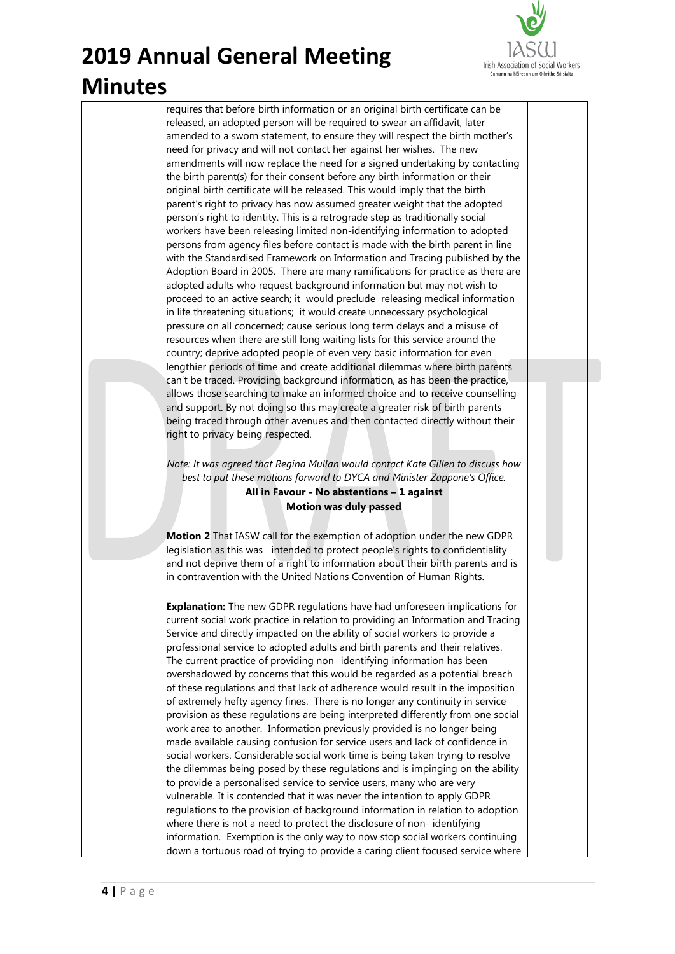

requires that before birth information or an original birth certificate can be released, an adopted person will be required to swear an affidavit, later amended to a sworn statement, to ensure they will respect the birth mother's need for privacy and will not contact her against her wishes. The new amendments will now replace the need for a signed undertaking by contacting the birth parent(s) for their consent before any birth information or their original birth certificate will be released. This would imply that the birth parent's right to privacy has now assumed greater weight that the adopted person's right to identity. This is a retrograde step as traditionally social workers have been releasing limited non-identifying information to adopted persons from agency files before contact is made with the birth parent in line with the Standardised Framework on Information and Tracing published by the Adoption Board in 2005. There are many ramifications for practice as there are adopted adults who request background information but may not wish to proceed to an active search; it would preclude releasing medical information in life threatening situations; it would create unnecessary psychological pressure on all concerned; cause serious long term delays and a misuse of resources when there are still long waiting lists for this service around the country; deprive adopted people of even very basic information for even lengthier periods of time and create additional dilemmas where birth parents can't be traced. Providing background information, as has been the practice, allows those searching to make an informed choice and to receive counselling and support. By not doing so this may create a greater risk of birth parents being traced through other avenues and then contacted directly without their right to privacy being respected.

*Note: It was agreed that Regina Mullan would contact Kate Gillen to discuss how best to put these motions forward to DYCA and Minister Zappone's Office.*

> **All in Favour - No abstentions – 1 against Motion was duly passed**

**Motion 2** That IASW call for the exemption of adoption under the new GDPR legislation as this was intended to protect people's rights to confidentiality and not deprive them of a right to information about their birth parents and is in contravention with the United Nations Convention of Human Rights.

**Explanation:** The new GDPR regulations have had unforeseen implications for current social work practice in relation to providing an Information and Tracing Service and directly impacted on the ability of social workers to provide a professional service to adopted adults and birth parents and their relatives. The current practice of providing non- identifying information has been overshadowed by concerns that this would be regarded as a potential breach of these regulations and that lack of adherence would result in the imposition of extremely hefty agency fines. There is no longer any continuity in service provision as these regulations are being interpreted differently from one social work area to another. Information previously provided is no longer being made available causing confusion for service users and lack of confidence in social workers. Considerable social work time is being taken trying to resolve the dilemmas being posed by these regulations and is impinging on the ability to provide a personalised service to service users, many who are very vulnerable. It is contended that it was never the intention to apply GDPR regulations to the provision of background information in relation to adoption where there is not a need to protect the disclosure of non- identifying information. Exemption is the only way to now stop social workers continuing down a tortuous road of trying to provide a caring client focused service where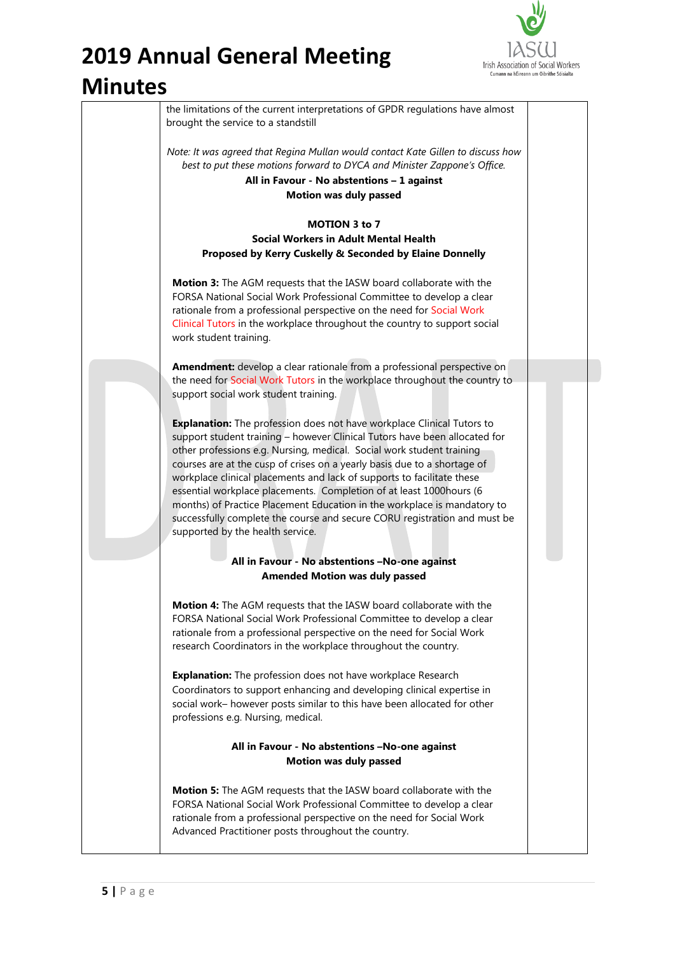# **2019 Annual General Meeting**



#### **Minutes**

| the limitations of the current interpretations of GPDR regulations have almost<br>brought the service to a standstill                                                                                                                                                                                                                                                                                                                                                                                                                                                                                                                                   |                                                                                                                                                                 |
|---------------------------------------------------------------------------------------------------------------------------------------------------------------------------------------------------------------------------------------------------------------------------------------------------------------------------------------------------------------------------------------------------------------------------------------------------------------------------------------------------------------------------------------------------------------------------------------------------------------------------------------------------------|-----------------------------------------------------------------------------------------------------------------------------------------------------------------|
| Note: It was agreed that Regina Mullan would contact Kate Gillen to discuss how<br>best to put these motions forward to DYCA and Minister Zappone's Office.<br>All in Favour - No abstentions - 1 against<br><b>Motion was duly passed</b>                                                                                                                                                                                                                                                                                                                                                                                                              |                                                                                                                                                                 |
|                                                                                                                                                                                                                                                                                                                                                                                                                                                                                                                                                                                                                                                         |                                                                                                                                                                 |
|                                                                                                                                                                                                                                                                                                                                                                                                                                                                                                                                                                                                                                                         |                                                                                                                                                                 |
| Proposed by Kerry Cuskelly & Seconded by Elaine Donnelly                                                                                                                                                                                                                                                                                                                                                                                                                                                                                                                                                                                                |                                                                                                                                                                 |
| Motion 3: The AGM requests that the IASW board collaborate with the<br>FORSA National Social Work Professional Committee to develop a clear<br>rationale from a professional perspective on the need for Social Work<br>Clinical Tutors in the workplace throughout the country to support social<br>work student training.                                                                                                                                                                                                                                                                                                                             |                                                                                                                                                                 |
| Amendment: develop a clear rationale from a professional perspective on                                                                                                                                                                                                                                                                                                                                                                                                                                                                                                                                                                                 |                                                                                                                                                                 |
| the need for Social Work Tutors in the workplace throughout the country to<br>support social work student training.                                                                                                                                                                                                                                                                                                                                                                                                                                                                                                                                     |                                                                                                                                                                 |
| Explanation: The profession does not have workplace Clinical Tutors to<br>support student training - however Clinical Tutors have been allocated for<br>other professions e.g. Nursing, medical. Social work student training<br>courses are at the cusp of crises on a yearly basis due to a shortage of<br>workplace clinical placements and lack of supports to facilitate these<br>essential workplace placements. Completion of at least 1000hours (6<br>months) of Practice Placement Education in the workplace is mandatory to<br>successfully complete the course and secure CORU registration and must be<br>supported by the health service. |                                                                                                                                                                 |
|                                                                                                                                                                                                                                                                                                                                                                                                                                                                                                                                                                                                                                                         |                                                                                                                                                                 |
|                                                                                                                                                                                                                                                                                                                                                                                                                                                                                                                                                                                                                                                         |                                                                                                                                                                 |
| Motion 4: The AGM requests that the IASW board collaborate with the<br>FORSA National Social Work Professional Committee to develop a clear<br>rationale from a professional perspective on the need for Social Work<br>research Coordinators in the workplace throughout the country.                                                                                                                                                                                                                                                                                                                                                                  |                                                                                                                                                                 |
| <b>Explanation:</b> The profession does not have workplace Research<br>Coordinators to support enhancing and developing clinical expertise in<br>social work- however posts similar to this have been allocated for other<br>professions e.g. Nursing, medical.                                                                                                                                                                                                                                                                                                                                                                                         |                                                                                                                                                                 |
| All in Favour - No abstentions -No-one against<br><b>Motion was duly passed</b>                                                                                                                                                                                                                                                                                                                                                                                                                                                                                                                                                                         |                                                                                                                                                                 |
| Motion 5: The AGM requests that the IASW board collaborate with the<br>FORSA National Social Work Professional Committee to develop a clear<br>rationale from a professional perspective on the need for Social Work<br>Advanced Practitioner posts throughout the country.                                                                                                                                                                                                                                                                                                                                                                             |                                                                                                                                                                 |
|                                                                                                                                                                                                                                                                                                                                                                                                                                                                                                                                                                                                                                                         | <b>MOTION 3 to 7</b><br><b>Social Workers in Adult Mental Health</b><br>All in Favour - No abstentions -No-one against<br><b>Amended Motion was duly passed</b> |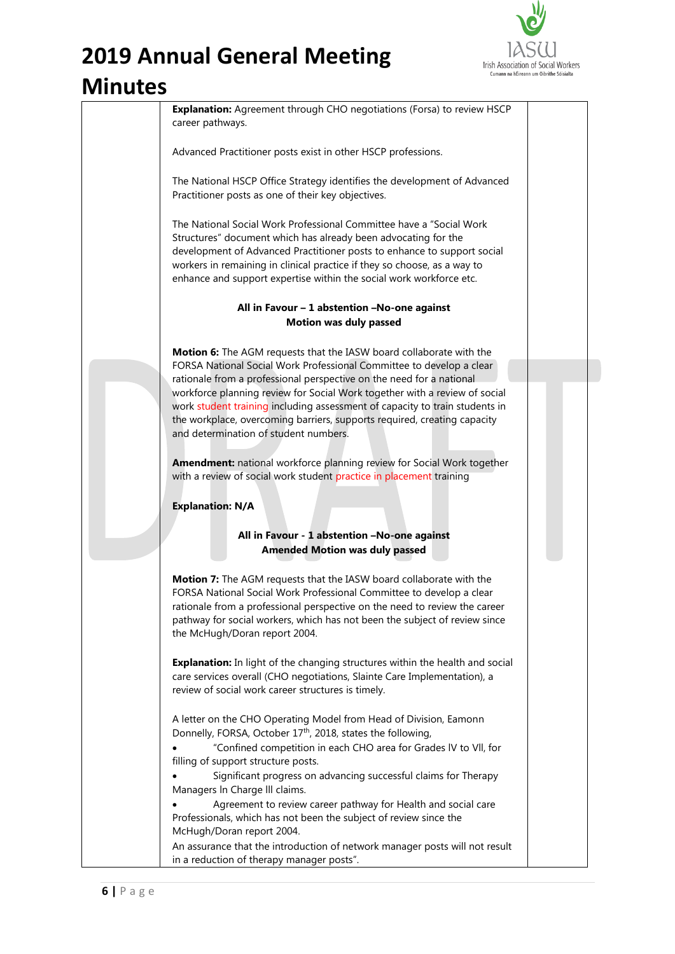

| TULES |                                                                                                                                                                                                                                                                                                                                                                      |  |
|-------|----------------------------------------------------------------------------------------------------------------------------------------------------------------------------------------------------------------------------------------------------------------------------------------------------------------------------------------------------------------------|--|
|       | Explanation: Agreement through CHO negotiations (Forsa) to review HSCP<br>career pathways.                                                                                                                                                                                                                                                                           |  |
|       | Advanced Practitioner posts exist in other HSCP professions.                                                                                                                                                                                                                                                                                                         |  |
|       | The National HSCP Office Strategy identifies the development of Advanced<br>Practitioner posts as one of their key objectives.                                                                                                                                                                                                                                       |  |
|       | The National Social Work Professional Committee have a "Social Work"<br>Structures" document which has already been advocating for the<br>development of Advanced Practitioner posts to enhance to support social<br>workers in remaining in clinical practice if they so choose, as a way to<br>enhance and support expertise within the social work workforce etc. |  |
|       | All in Favour - 1 abstention -No-one against                                                                                                                                                                                                                                                                                                                         |  |
|       | <b>Motion was duly passed</b>                                                                                                                                                                                                                                                                                                                                        |  |
|       | Motion 6: The AGM requests that the IASW board collaborate with the<br>FORSA National Social Work Professional Committee to develop a clear                                                                                                                                                                                                                          |  |
|       | rationale from a professional perspective on the need for a national<br>workforce planning review for Social Work together with a review of social                                                                                                                                                                                                                   |  |
|       | work student training including assessment of capacity to train students in                                                                                                                                                                                                                                                                                          |  |
|       | the workplace, overcoming barriers, supports required, creating capacity<br>and determination of student numbers.                                                                                                                                                                                                                                                    |  |
|       | Amendment: national workforce planning review for Social Work together<br>with a review of social work student practice in placement training                                                                                                                                                                                                                        |  |
|       | <b>Explanation: N/A</b>                                                                                                                                                                                                                                                                                                                                              |  |
|       | All in Favour - 1 abstention -No-one against                                                                                                                                                                                                                                                                                                                         |  |
|       | <b>Amended Motion was duly passed</b>                                                                                                                                                                                                                                                                                                                                |  |
|       | Motion 7: The AGM requests that the IASW board collaborate with the<br>FORSA National Social Work Professional Committee to develop a clear<br>rationale from a professional perspective on the need to review the career<br>pathway for social workers, which has not been the subject of review since<br>the McHugh/Doran report 2004.                             |  |
|       | <b>Explanation:</b> In light of the changing structures within the health and social<br>care services overall (CHO negotiations, Slainte Care Implementation), a<br>review of social work career structures is timely.                                                                                                                                               |  |
|       | A letter on the CHO Operating Model from Head of Division, Eamonn<br>Donnelly, FORSA, October 17th, 2018, states the following,                                                                                                                                                                                                                                      |  |
|       | "Confined competition in each CHO area for Grades IV to VII, for<br>filling of support structure posts.                                                                                                                                                                                                                                                              |  |
|       | Significant progress on advancing successful claims for Therapy<br>Managers In Charge III claims.                                                                                                                                                                                                                                                                    |  |
|       | Agreement to review career pathway for Health and social care                                                                                                                                                                                                                                                                                                        |  |
|       | Professionals, which has not been the subject of review since the<br>McHugh/Doran report 2004.                                                                                                                                                                                                                                                                       |  |
|       | An assurance that the introduction of network manager posts will not result                                                                                                                                                                                                                                                                                          |  |
|       | in a reduction of therapy manager posts".                                                                                                                                                                                                                                                                                                                            |  |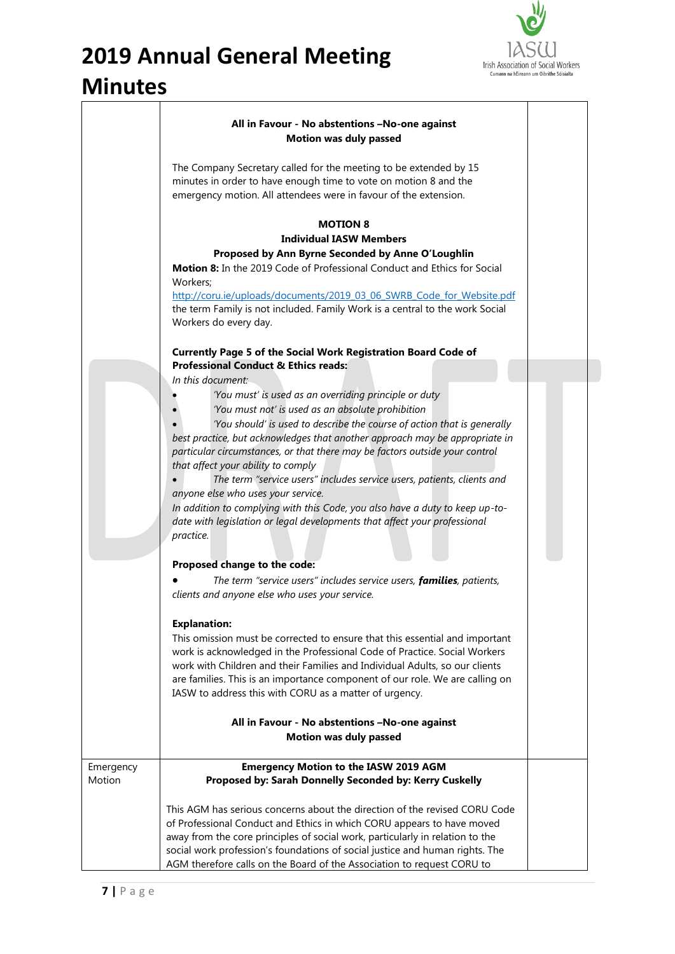

|                     | All in Favour - No abstentions -No-one against                                                                                                                                                                                                                                                                          |  |
|---------------------|-------------------------------------------------------------------------------------------------------------------------------------------------------------------------------------------------------------------------------------------------------------------------------------------------------------------------|--|
|                     | <b>Motion was duly passed</b>                                                                                                                                                                                                                                                                                           |  |
|                     | The Company Secretary called for the meeting to be extended by 15<br>minutes in order to have enough time to vote on motion 8 and the<br>emergency motion. All attendees were in favour of the extension.                                                                                                               |  |
|                     | <b>MOTION 8</b>                                                                                                                                                                                                                                                                                                         |  |
|                     | <b>Individual IASW Members</b>                                                                                                                                                                                                                                                                                          |  |
|                     | Proposed by Ann Byrne Seconded by Anne O'Loughlin                                                                                                                                                                                                                                                                       |  |
|                     | Motion 8: In the 2019 Code of Professional Conduct and Ethics for Social<br>Workers:                                                                                                                                                                                                                                    |  |
|                     | http://coru.ie/uploads/documents/2019 03 06 SWRB Code for Website.pdf                                                                                                                                                                                                                                                   |  |
|                     | the term Family is not included. Family Work is a central to the work Social<br>Workers do every day.                                                                                                                                                                                                                   |  |
|                     | <b>Currently Page 5 of the Social Work Registration Board Code of</b>                                                                                                                                                                                                                                                   |  |
|                     | <b>Professional Conduct &amp; Ethics reads:</b>                                                                                                                                                                                                                                                                         |  |
|                     | In this document:<br>'You must' is used as an overriding principle or duty<br>'You must not' is used as an absolute prohibition                                                                                                                                                                                         |  |
|                     | 'You should' is used to describe the course of action that is generally<br>best practice, but acknowledges that another approach may be appropriate in<br>particular circumstances, or that there may be factors outside your control<br>that affect your ability to comply                                             |  |
|                     | The term "service users" includes service users, patients, clients and<br>anyone else who uses your service.                                                                                                                                                                                                            |  |
|                     | In addition to complying with this Code, you also have a duty to keep up-to-<br>date with legislation or legal developments that affect your professional<br>practice.                                                                                                                                                  |  |
|                     | Proposed change to the code:                                                                                                                                                                                                                                                                                            |  |
|                     | The term "service users" includes service users, families, patients,                                                                                                                                                                                                                                                    |  |
|                     | clients and anyone else who uses your service.                                                                                                                                                                                                                                                                          |  |
|                     | <b>Explanation:</b>                                                                                                                                                                                                                                                                                                     |  |
|                     | This omission must be corrected to ensure that this essential and important<br>work is acknowledged in the Professional Code of Practice. Social Workers<br>work with Children and their Families and Individual Adults, so our clients<br>are families. This is an importance component of our role. We are calling on |  |
|                     | IASW to address this with CORU as a matter of urgency.                                                                                                                                                                                                                                                                  |  |
|                     | All in Favour - No abstentions -No-one against                                                                                                                                                                                                                                                                          |  |
|                     | <b>Motion was duly passed</b>                                                                                                                                                                                                                                                                                           |  |
| Emergency<br>Motion | <b>Emergency Motion to the IASW 2019 AGM</b><br>Proposed by: Sarah Donnelly Seconded by: Kerry Cuskelly                                                                                                                                                                                                                 |  |
|                     | This AGM has serious concerns about the direction of the revised CORU Code<br>of Professional Conduct and Ethics in which CORU appears to have moved                                                                                                                                                                    |  |
|                     | away from the core principles of social work, particularly in relation to the<br>social work profession's foundations of social justice and human rights. The                                                                                                                                                           |  |
|                     | AGM therefore calls on the Board of the Association to request CORU to                                                                                                                                                                                                                                                  |  |